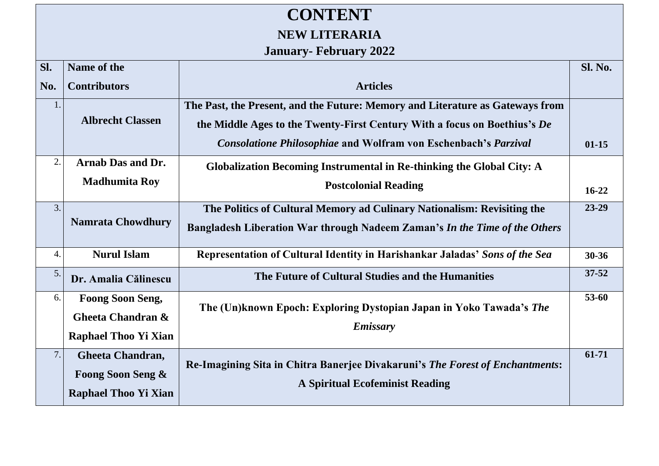## **CONTENT NEW LITERARIA**

## **January- February 2022**

| SI. | Name of the                                                                 |                                                                                                                                                                                                                                      | <b>Sl. No.</b> |
|-----|-----------------------------------------------------------------------------|--------------------------------------------------------------------------------------------------------------------------------------------------------------------------------------------------------------------------------------|----------------|
| No. | <b>Contributors</b>                                                         | <b>Articles</b>                                                                                                                                                                                                                      |                |
| 1.  | <b>Albrecht Classen</b>                                                     | The Past, the Present, and the Future: Memory and Literature as Gateways from<br>the Middle Ages to the Twenty-First Century With a focus on Boethius's De<br><b>Consolatione Philosophiae and Wolfram von Eschenbach's Parzival</b> | $01 - 15$      |
| 2.  | Arnab Das and Dr.                                                           | Globalization Becoming Instrumental in Re-thinking the Global City: A                                                                                                                                                                |                |
|     | <b>Madhumita Roy</b>                                                        | <b>Postcolonial Reading</b>                                                                                                                                                                                                          | $16 - 22$      |
| 3.  | <b>Namrata Chowdhury</b>                                                    | The Politics of Cultural Memory ad Culinary Nationalism: Revisiting the<br>Bangladesh Liberation War through Nadeem Zaman's In the Time of the Others                                                                                | 23-29          |
| 4.  | <b>Nurul Islam</b>                                                          | Representation of Cultural Identity in Harishankar Jaladas' Sons of the Sea                                                                                                                                                          | $30 - 36$      |
| 5.  | Dr. Amalia Călinescu                                                        | The Future of Cultural Studies and the Humanities                                                                                                                                                                                    | $37 - 52$      |
| 6.  | <b>Foong Soon Seng,</b><br>Gheeta Chandran &<br><b>Raphael Thoo Yi Xian</b> | The (Un)known Epoch: Exploring Dystopian Japan in Yoko Tawada's The<br><b>Emissary</b>                                                                                                                                               | 53-60          |
| 7.  | Gheeta Chandran,<br>Foong Soon Seng &<br><b>Raphael Thoo Yi Xian</b>        | Re-Imagining Sita in Chitra Banerjee Divakaruni's The Forest of Enchantments:<br><b>A Spiritual Ecofeminist Reading</b>                                                                                                              | $61 - 71$      |